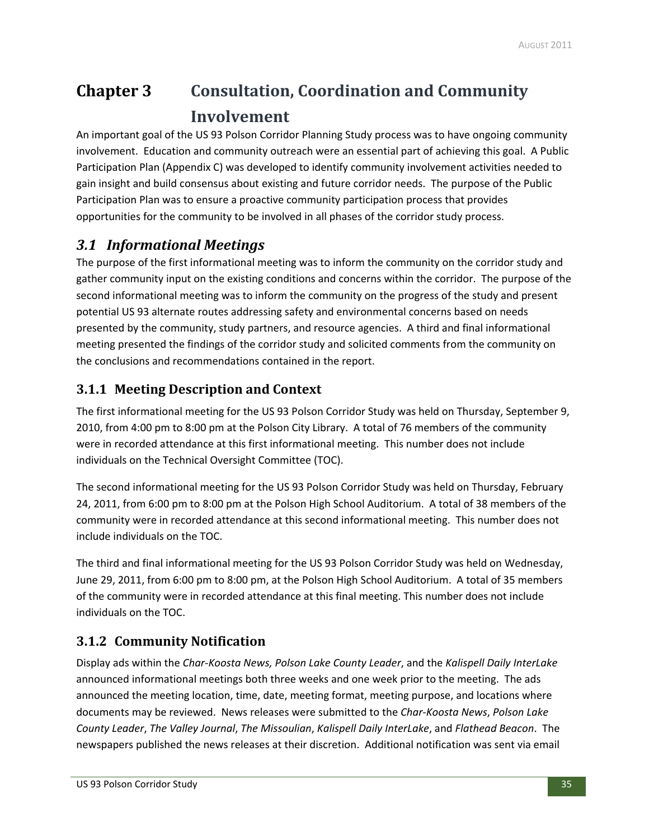# **Chapter 3 Consultation, Coordination and Community Involvement**

An important goal of the US 93 Polson Corridor Planning Study process was to have ongoing community involvement. Education and community outreach were an essential part of achieving this goal. A Public Participation Plan (Appendix C) was developed to identify community involvement activities needed to gain insight and build consensus about existing and future corridor needs. The purpose of the Public Participation Plan was to ensure a proactive community participation process that provides opportunities for the community to be involved in all phases of the corridor study process.

## *3.1 Informational Meetings*

The purpose of the first informational meeting was to inform the community on the corridor study and gather community input on the existing conditions and concerns within the corridor. The purpose of the second informational meeting was to inform the community on the progress of the study and present potential US 93 alternate routes addressing safety and environmental concerns based on needs presented by the community, study partners, and resource agencies. A third and final informational meeting presented the findings of the corridor study and solicited comments from the community on the conclusions and recommendations contained in the report.

### **3.1.1 Meeting Description and Context**

The first informational meeting for the US 93 Polson Corridor Study was held on Thursday, September 9, 2010, from 4:00 pm to 8:00 pm at the Polson City Library. A total of 76 members of the community were in recorded attendance at this first informational meeting. This number does not include individuals on the Technical Oversight Committee (TOC).

The second informational meeting for the US 93 Polson Corridor Study was held on Thursday, February 24, 2011, from 6:00 pm to 8:00 pm at the Polson High School Auditorium. A total of 38 members of the community were in recorded attendance at this second informational meeting. This number does not include individuals on the TOC.

The third and final informational meeting for the US 93 Polson Corridor Study was held on Wednesday, June 29, 2011, from 6:00 pm to 8:00 pm, at the Polson High School Auditorium. A total of 35 members of the community were in recorded attendance at this final meeting. This number does not include individuals on the TOC.

### **3.1.2 Community Notification**

Display ads within the *Char‐Koosta News, Polson Lake County Leader*, and the *Kalispell Daily InterLake* announced informational meetings both three weeks and one week prior to the meeting. The ads announced the meeting location, time, date, meeting format, meeting purpose, and locations where documents may be reviewed. News releases were submitted to the *Char‐Koosta News*, *Polson Lake County Leader*, *The Valley Journal*, *The Missoulian*, *Kalispell Daily InterLake*, and *Flathead Beacon*. The newspapers published the news releases at their discretion. Additional notification was sent via email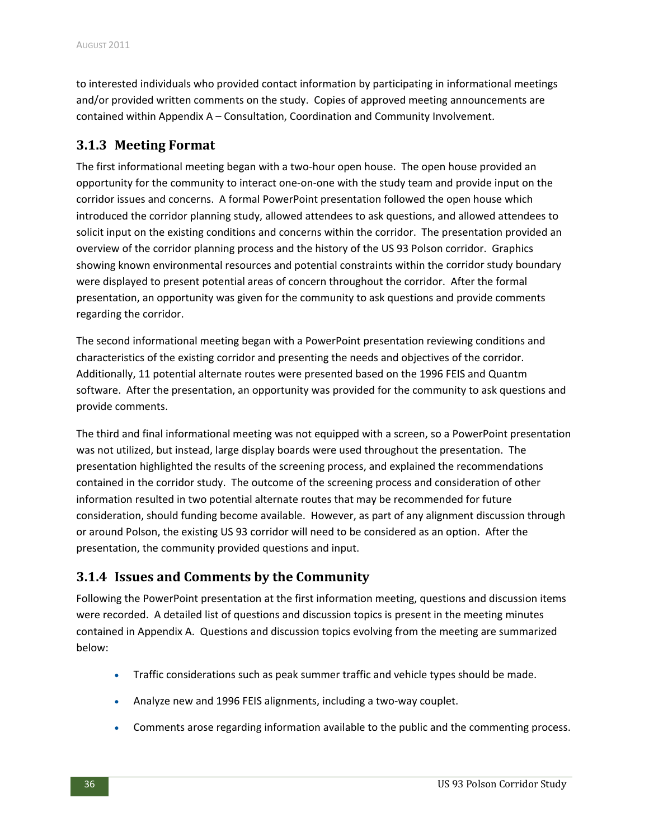to interested individuals who provided contact information by participating in informational meetings and/or provided written comments on the study. Copies of approved meeting announcements are contained within Appendix A – Consultation, Coordination and Community Involvement.

#### **3.1.3 Meeting Format**

The first informational meeting began with a two-hour open house. The open house provided an opportunity for the community to interact one‐on‐one with the study team and provide input on the corridor issues and concerns. A formal PowerPoint presentation followed the open house which introduced the corridor planning study, allowed attendees to ask questions, and allowed attendees to solicit input on the existing conditions and concerns within the corridor. The presentation provided an overview of the corridor planning process and the history of the US 93 Polson corridor. Graphics showing known environmental resources and potential constraints within the corridor study boundary were displayed to present potential areas of concern throughout the corridor. After the formal presentation, an opportunity was given for the community to ask questions and provide comments regarding the corridor.

The second informational meeting began with a PowerPoint presentation reviewing conditions and characteristics of the existing corridor and presenting the needs and objectives of the corridor. Additionally, 11 potential alternate routes were presented based on the 1996 FEIS and Quantm software. After the presentation, an opportunity was provided for the community to ask questions and provide comments.

The third and final informational meeting was not equipped with a screen, so a PowerPoint presentation was not utilized, but instead, large display boards were used throughout the presentation. The presentation highlighted the results of the screening process, and explained the recommendations contained in the corridor study. The outcome of the screening process and consideration of other information resulted in two potential alternate routes that may be recommended for future consideration, should funding become available. However, as part of any alignment discussion through or around Polson, the existing US 93 corridor will need to be considered as an option. After the presentation, the community provided questions and input.

### **3.1.4 Issues and Comments by the Community**

Following the PowerPoint presentation at the first information meeting, questions and discussion items were recorded. A detailed list of questions and discussion topics is present in the meeting minutes contained in Appendix A. Questions and discussion topics evolving from the meeting are summarized below:

- Traffic considerations such as peak summer traffic and vehicle types should be made.
- Analyze new and 1996 FEIS alignments, including a two‐way couplet.
- Comments arose regarding information available to the public and the commenting process.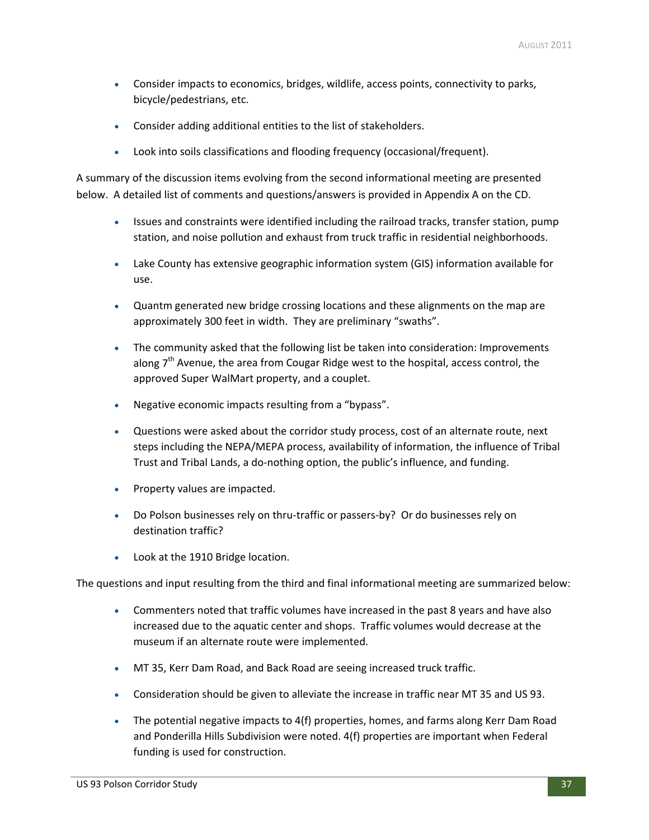- Consider impacts to economics, bridges, wildlife, access points, connectivity to parks, bicycle/pedestrians, etc.
- Consider adding additional entities to the list of stakeholders.
- Look into soils classifications and flooding frequency (occasional/frequent).

A summary of the discussion items evolving from the second informational meeting are presented below. A detailed list of comments and questions/answers is provided in Appendix A on the CD.

- Issues and constraints were identified including the railroad tracks, transfer station, pump station, and noise pollution and exhaust from truck traffic in residential neighborhoods.
- Lake County has extensive geographic information system (GIS) information available for use.
- Quantm generated new bridge crossing locations and these alignments on the map are approximately 300 feet in width. They are preliminary "swaths".
- The community asked that the following list be taken into consideration: Improvements along  $7<sup>th</sup>$  Avenue, the area from Cougar Ridge west to the hospital, access control, the approved Super WalMart property, and a couplet.
- Negative economic impacts resulting from a "bypass".
- Questions were asked about the corridor study process, cost of an alternate route, next steps including the NEPA/MEPA process, availability of information, the influence of Tribal Trust and Tribal Lands, a do‐nothing option, the public's influence, and funding.
- Property values are impacted.
- Do Polson businesses rely on thru-traffic or passers-by? Or do businesses rely on destination traffic?
- Look at the 1910 Bridge location.

The questions and input resulting from the third and final informational meeting are summarized below:

- Commenters noted that traffic volumes have increased in the past 8 years and have also increased due to the aquatic center and shops. Traffic volumes would decrease at the museum if an alternate route were implemented.
- MT 35, Kerr Dam Road, and Back Road are seeing increased truck traffic.
- Consideration should be given to alleviate the increase in traffic near MT 35 and US 93.
- The potential negative impacts to 4(f) properties, homes, and farms along Kerr Dam Road and Ponderilla Hills Subdivision were noted. 4(f) properties are important when Federal funding is used for construction.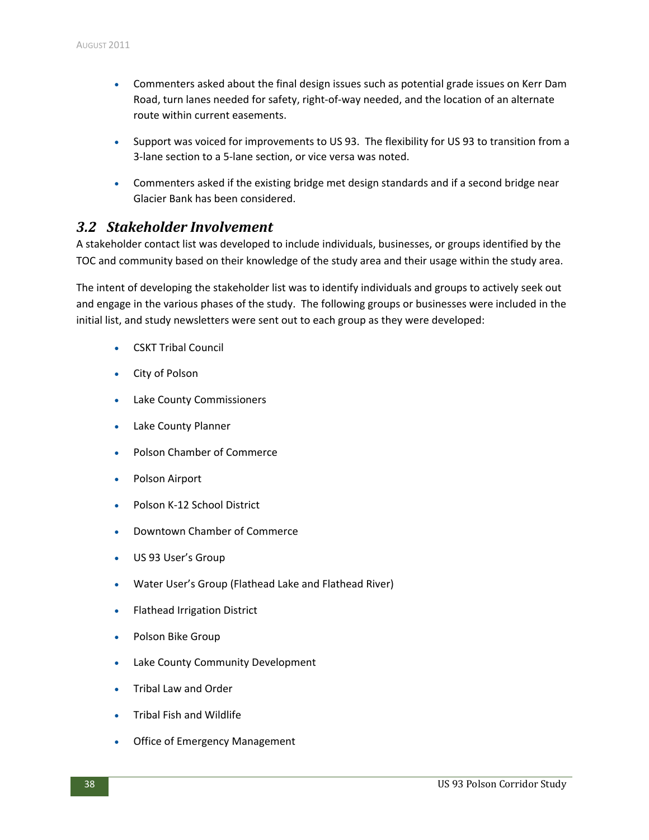- Commenters asked about the final design issues such as potential grade issues on Kerr Dam Road, turn lanes needed for safety, right‐of‐way needed, and the location of an alternate route within current easements.
- Support was voiced for improvements to US 93. The flexibility for US 93 to transition from a 3‐lane section to a 5‐lane section, or vice versa was noted.
- Commenters asked if the existing bridge met design standards and if a second bridge near Glacier Bank has been considered.

#### *3.2 Stakeholder Involvement*

A stakeholder contact list was developed to include individuals, businesses, or groups identified by the TOC and community based on their knowledge of the study area and their usage within the study area.

The intent of developing the stakeholder list was to identify individuals and groups to actively seek out and engage in the various phases of the study. The following groups or businesses were included in the initial list, and study newsletters were sent out to each group as they were developed:

- CSKT Tribal Council
- City of Polson
- Lake County Commissioners
- Lake County Planner
- Polson Chamber of Commerce
- Polson Airport
- Polson K‐12 School District
- Downtown Chamber of Commerce
- US 93 User's Group
- Water User's Group (Flathead Lake and Flathead River)
- Flathead Irrigation District
- Polson Bike Group
- Lake County Community Development
- Tribal Law and Order
- Tribal Fish and Wildlife
- Office of Emergency Management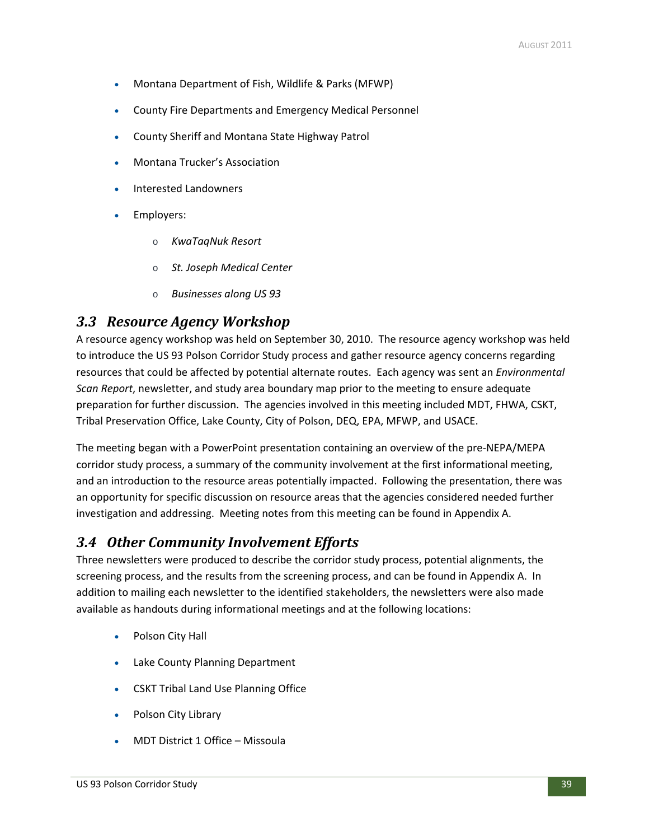- Montana Department of Fish, Wildlife & Parks (MFWP)
- County Fire Departments and Emergency Medical Personnel
- County Sheriff and Montana State Highway Patrol
- Montana Trucker's Association
- Interested Landowners
- Employers:
	- o *KwaTaqNuk Resort*
	- o *St. Joseph Medical Center*
	- o *Businesses along US 93*

### *3.3 Resource Agency Workshop*

A resource agency workshop was held on September 30, 2010. The resource agency workshop was held to introduce the US 93 Polson Corridor Study process and gather resource agency concerns regarding resources that could be affected by potential alternate routes. Each agency was sent an *Environmental Scan Report*, newsletter, and study area boundary map prior to the meeting to ensure adequate preparation for further discussion. The agencies involved in this meeting included MDT, FHWA, CSKT, Tribal Preservation Office, Lake County, City of Polson, DEQ, EPA, MFWP, and USACE.

The meeting began with a PowerPoint presentation containing an overview of the pre‐NEPA/MEPA corridor study process, a summary of the community involvement at the first informational meeting, and an introduction to the resource areas potentially impacted. Following the presentation, there was an opportunity for specific discussion on resource areas that the agencies considered needed further investigation and addressing. Meeting notes from this meeting can be found in Appendix A.

### *3.4 Other Community Involvement Efforts*

Three newsletters were produced to describe the corridor study process, potential alignments, the screening process, and the results from the screening process, and can be found in Appendix A. In addition to mailing each newsletter to the identified stakeholders, the newsletters were also made available as handouts during informational meetings and at the following locations:

- Polson City Hall
- Lake County Planning Department
- CSKT Tribal Land Use Planning Office
- Polson City Library
- MDT District 1 Office Missoula